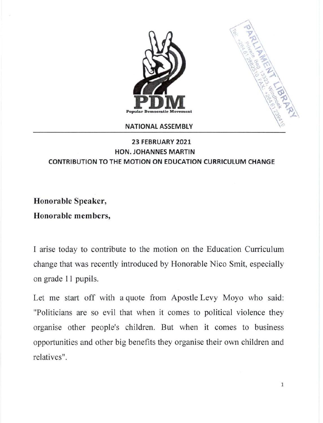



NATIONAL ASSEMBLY

#### 23 FEBRUARY 2021 HON. JOHANNES MARTIN CONTRIBUTION TO THE MOTION ON EDUCATION CURRICULUM CHANGE

Honorable Speaker,

Honorable members,

I arise today to contribute to the motion on the Education Curriculum change that was recently introduced by Honorable Nico Smit, especially on grade 11 pupils.

Let me start off with a quote from Apostle Levy Moyo who said: "Politicians are so evil that when it comes to political violence they organise other people's children. But when it comes to business opportunities and other big benefits they organise their own children and relatives" .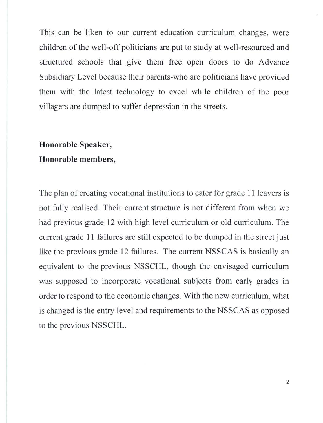This can be liken to our current education curriculum changes, were children of the well-off politicians are put to study at well-resourced and structured schools that give them free open doors to do Advance Subsidiary Level because their parents-who are politicians have provided them with the latest technology to excel while children of the poor villagers are dumped to suffer depression in the streets.

## **Honorable Speaker, Honorable members,**

The plan of creating vocational institutions to cater for grade 11 leavers is not fully realised. Their current structure is not different from when we had previous grade 12 with high level curriculum or old curriculum. The current grade 11 failures are still expected to be dumped in the street just like the previous grade 12 failures. The current NSSCAS is basically an equivalent to the previous NSSCHL, though the envisaged curriculum was supposed to incorporate vocational subjects from early grades in order to respond to the economic changes. With the new curriculum, what is changed is the entry level and requirements to the NSSCAS as opposed to the previous NSSCHL.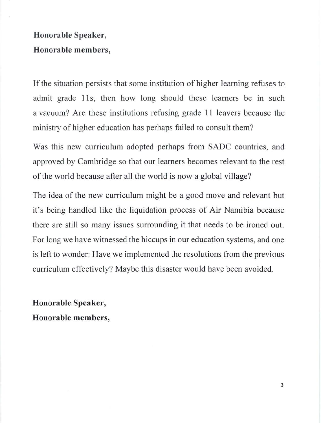## Honorable Speaker, Honorable members,

If the situation persists that some institution of higher learning refuses to admit grade 11s, then how long should these learners be in such a vacuum? Are these institutions refusing grade 11 leavers because the ministry of higher education has perhaps failed to consult them?

Was this new curriculum adopted perhaps from SADC countries, and approved by Cambridge so that our learners becomes relevant to the rest of the world because after all the world is now a global village?

The idea of the new curriculum might be a good move and relevant but it's being handled like the liquidation process of Air Namibia because there are still so many issues surrounding it that needs to be ironed out. For long we have witnessed the hiccups in our education systems, and one is left to wonder: Have we implemented the resolutions from the previous curriculum effectively? Maybe this disaster would have been avoided.

Honorable Speaker, Honorable members,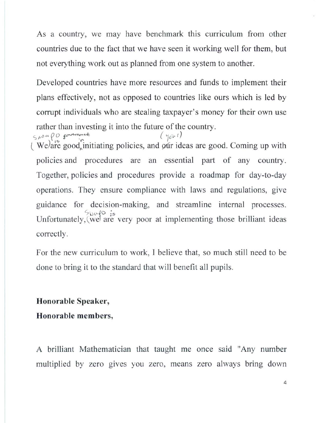As a country, we may have benchmark this curriculum from other countries due to the fact that we have seen it working well for them, but not everything work out as planned from one system to another.

Developed countries have more resources and funds to implement their plans effectively, not as opposed to countries like ours which is led by corrupt individuals who are stealing taxpayer's money for their own use rather than investing it into the future of the country.  $5~\mu$ o ac $\rho$ O government ('10'

 $\langle$  We)are good, initiating policies, and our ideas are good. Coming up with policies and procedures are an essential part of any country. Together, policies and procedures provide a roadmap for day-to-day operations. They ensure compliance with laws and regulations, give guidance for decision-making, and streamline internal processes.  $50$   $e^{0}$   $i$ Unfortunately, (we are very poor at implementing those brilliant ideas correctly.

For the new curriculum to work, I believe that, so much still need to be done to bring it to the standard that will benefit all pupils.

## **Honorable Speaker, Honorable members,**

A brilliant Mathematician that taught me once said "Any number multiplied by zero gives you zero, means zero always bring down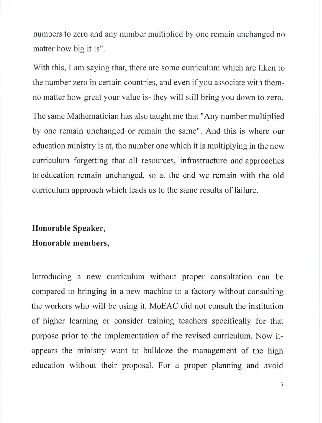numbers to zero and any number multiplied by one remain unchanged no matter how big it is".

With this, I am saying that, there are some curriculum which are liken to the number zero in certain countries, and even if you associate with themno matter how great your value is- they will still bring you down to zero.

The same Mathematician has also taught me that "Any number multiplied by one remain unchanged or remain the same". And this is where our education ministry is at, the number one which it is multiplying in the new curriculum forgetting that all resources, infrastructure and approaches to education remain unchanged, so at the end we remain with the old curriculum approach which leads us to the same results of failure.

## **Honorable Speaker, Honorable members,**

Introducing a new curriculum without proper consultation can be compared to bringing in a new machine to a factory without consulting the workers who will be using it. MoEAC did not consult the institution of higher learning or consider training teachers specifically for that purpose prior to the implementation of the revised curriculum. Now itappears the ministry want to bulldoze the management of the high education without their proposal. For a proper planning and avoid

5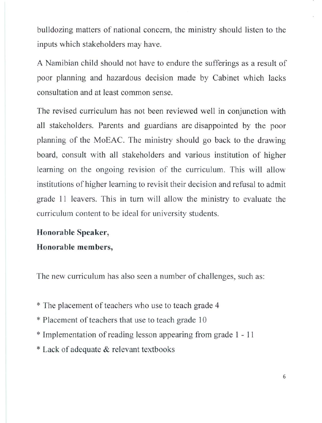bulldozing matters of national concern, the ministry should listen to the inputs which stakeholders may have.

A Namibian child should not have to endure the sufferings as a result of poor planning and hazardous decision made by Cabinet which lacks consultation and at least common sense.

The revised curriculum has not been reviewed well in conjunction with all stakeholders. Parents and guardians are disappointed by the poor planning of the MoEAC. The ministry should go back to the drawing board, consult with all stakeholders and various institution of higher learning on the ongoing revision of the curriculum. This will allow institutions of higher learning to revisit their decision and refusal to admit grade 11 leavers. This in tum will allow the ministry to evaluate the curriculum content to be ideal for university students.

## **Honorable Speaker, Honorable members,**

The new curriculum has also seen a number of challenges, such as:

\* The placement of teachers who use to teach grade 4

- \* Placement of teachers that use to teach grade 10
- \* Implementation of reading lesson appearing from grade 1 11
- \* Lack of adequate & relevant textbooks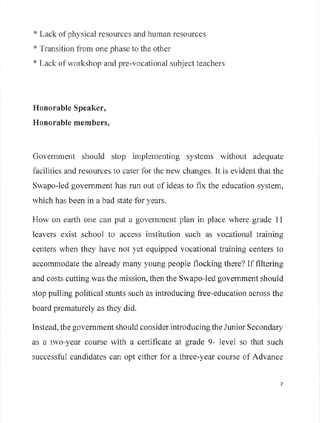- \* Lack of physical resources and human resources
- \* Transition from one phase to the other
- \* Lack of workshop and pre-vocational subject teachers

# **Honorable** Speaker, **Honorable** members,

Government should stop implementing systems without adequate facilities and resources to cater for the new changes. It is evident that the Swapo-led government has run out of ideas to fix the education system, which has been in a bad state for years.

How on earth one can put a government plan in place where grade 11 leavers exist school to access institution such as vocational training centers when they have not yet equipped vocational training centers to accommodate the already many young people flocking there? If filtering and costs cutting was the mission, then the Swapo-led government should stop pulling political stunts such as introducing free-education across the board prematurely as they did.

Instead, the government should consider introducing the Junior Secondary as a two-year course with a certificate at grade 9- level so that such successful candidates can opt either for a three-year course of Advance

7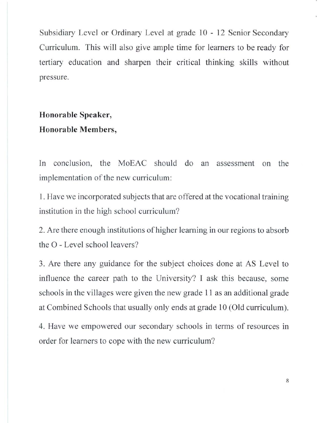Subsidiary Level or Ordinary Level at grade 10 - 12 Senior Secondary Curriculum. This will also give ample time for learners to be ready for tertiary education and sharpen their critical thinking skills without pressure.

#### **Honorable Speaker, Honorable Members,**

In conclusion, the MoEAC should do an assessment on the implementation of the new curriculum:

1.Have we incorporated subjects that are offered at the vocational training institution in the high school curriculum?

2. Are there enough institutions of higher learning in our regions to absorb the O - Level school leavers?

3. Are there any guidance for the subject choices done at AS Level to influence the career path to the University? I ask this because, some schools in the villages were given the new grade 11 as an additional grade at Combined Schools that usually only ends at grade 10 (Old curriculum).

4. Have we empowered our secondary schools in terms of resources in order for learners to cope with the new curriculum?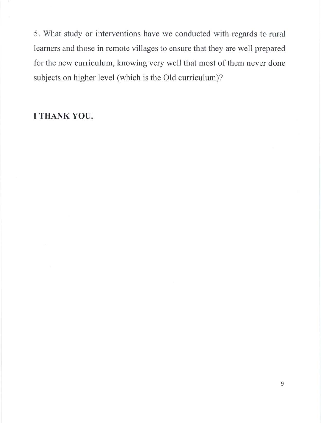5. What study or interventions have we conducted with regards to rural learners and those in remote villages to ensure that they are well prepared for the new curriculum, knowing very well that most of them never done subjects on higher level (which is the Old curriculum)?

#### I THANK YOU.